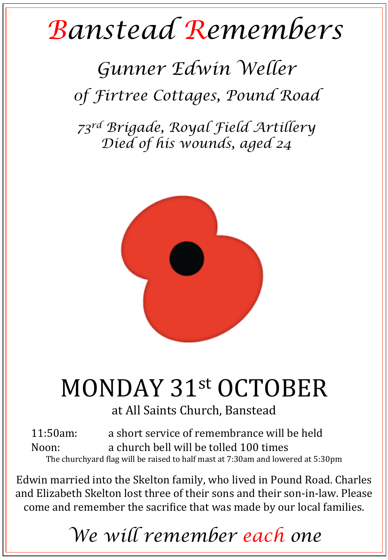# *Banstead Remembers*

#### *Gunner Edwin Weller 0f Firtree Cottages, Pound Road*

*73rd Brigade, Royal Field Artillery Died of his wounds, aged 24* 



## MONDAY 31st OCTOBER

at All Saints Church, Banstead

11:50am: a short service of remembrance will be held Noon: a church bell will be tolled 100 times The churchyard flag will be raised to half mast at 7:30am and lowered at 5:30pm

Edwin married into the Skelton family, who lived in Pound Road. Charles and Elizabeth Skelton lost three of their sons and their son-in-law. Please come and remember the sacrifice that was made by our local families.

### *We will remember each one*